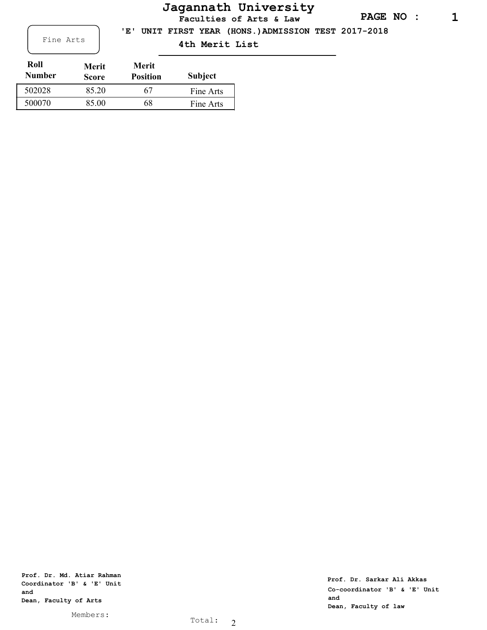## **PAGE NO : 1**

**Jagannath University**

**Faculties of Arts & Law**

 **'E' UNIT FIRST YEAR (HONS.)ADMISSION TEST 2017-2018**

Fine Arts **4th Merit List** 

| Roll<br><b>Number</b> | Merit<br><b>Score</b> | Merit<br><b>Position</b> | <b>Subject</b> |
|-----------------------|-----------------------|--------------------------|----------------|
| 502028                | 85.20                 | 67                       | Fine Arts      |
| 500070                | 85.00                 | 68                       | Fine Arts      |

**Prof. Dr. Md. Atiar Rahman Coordinator 'B' & 'E' Unit and Dean, Faculty of Arts**

Members: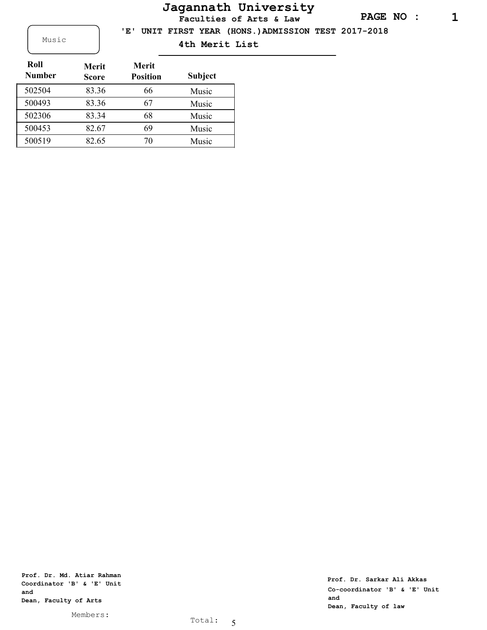## **Jagannath University**

**Faculties of Arts & Law**

 **'E' UNIT FIRST YEAR (HONS.)ADMISSION TEST 2017-2018**

Music **4th Merit List** 

| Roll<br><b>Number</b> | <b>Merit</b><br><b>Score</b> | <b>Merit</b><br><b>Position</b> | <b>Subject</b> |
|-----------------------|------------------------------|---------------------------------|----------------|
| 502504                | 83.36                        | 66                              | Music          |
| 500493                | 83.36                        | 67                              | Music          |
| 502306                | 83.34                        | 68                              | Music          |
| 500453                | 82.67                        | 69                              | Music          |
| 500519                | 82.65                        | 70                              | Music          |

**Prof. Dr. Md. Atiar Rahman Coordinator 'B' & 'E' Unit and Dean, Faculty of Arts**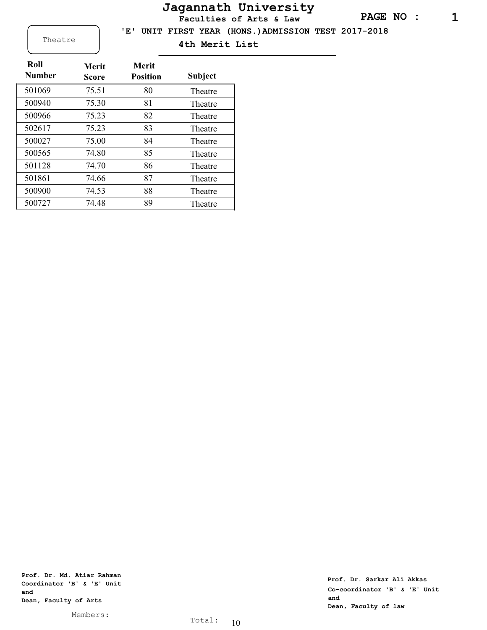## **Jagannath University**

**Faculties of Arts & Law**

 **'E' UNIT FIRST YEAR (HONS.)ADMISSION TEST 2017-2018**

Theatre **4th Merit List** 

| Roll<br><b>Number</b> | Merit<br>Score | Merit<br><b>Position</b> | <b>Subject</b> |
|-----------------------|----------------|--------------------------|----------------|
| 501069                | 75.51          | 80                       | Theatre        |
| 500940                | 75.30          | 81                       | Theatre        |
| 500966                | 75.23          | 82                       | Theatre        |
| 502617                | 75.23          | 83                       | Theatre        |
| 500027                | 75.00          | 84                       | Theatre        |
| 500565                | 74.80          | 85                       | Theatre        |
| 501128                | 74.70          | 86                       | Theatre        |
| 501861                | 74.66          | 87                       | Theatre        |
| 500900                | 74.53          | 88                       | Theatre        |
| 500727                | 74.48          | 89                       | Theatre        |

**Prof. Dr. Md. Atiar Rahman Coordinator 'B' & 'E' Unit and Dean, Faculty of Arts**